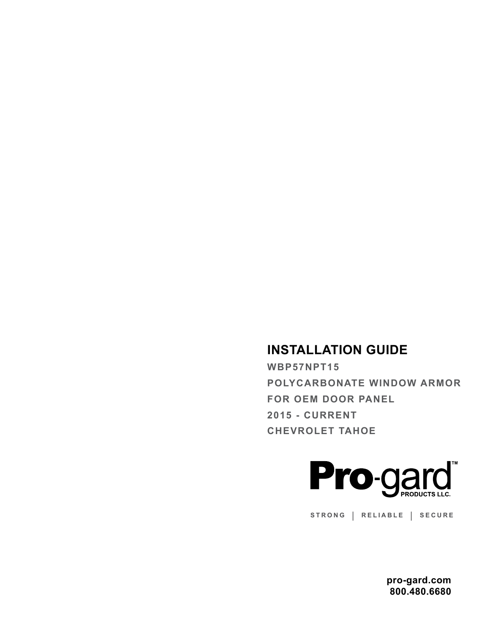## **INSTALLATION GUIDE**

**WBP57NPT15 POLYCARBONATE WINDOW ARMOR FOR OEM DOOR PANEL 2015 - CURRENT CHEVROLET TAHOE**



**STRONG | RELIABLE | SECURE**

**pro-gard.com 800.480.6680**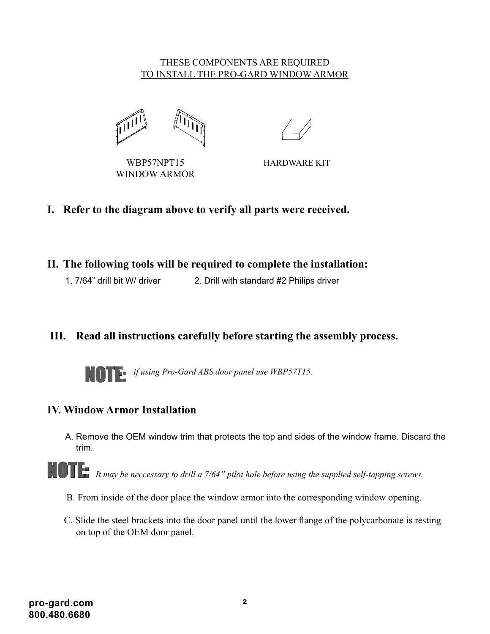#### THESE COMPONENTS ARE REQUIRED TO INSTALL THE PRO-GARD WINDOW ARMOR



WINDOW ARMOR WBP57NPT15

HARDWARE KIT

- **I. Refer to the diagram above to verify all parts were received.**
- **II. The following tools will be required to complete the installation:**
	- 1. 7/64" drill bit W/ driver 2. Drill with standard #2 Philips driver

### **III. Read all instructions carefully before starting the assembly process.**



*if using Pro-Gard ABS door panel use WBP57T15.*

#### **IV. Window Armor Installation**

A. Remove the OEM window trim that protects the top and sides of the window frame. Discard the trim.

NOTE: *It may be neccessary to drill a 7/64" pilot hole before using the supplied self-tapping screws.*

- B. From inside of the door place the window armor into the corresponding window opening.
- C. Slide the steel brackets into the door panel until the lower flange of the polycarbonate is resting on top of the OEM door panel.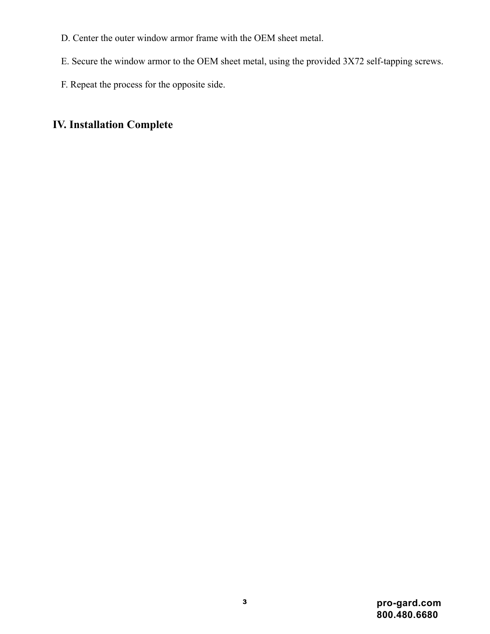- D. Center the outer window armor frame with the OEM sheet metal.
- E. Secure the window armor to the OEM sheet metal, using the provided 3X72 self-tapping screws.
- F. Repeat the process for the opposite side.

# **IV. Installation Complete**